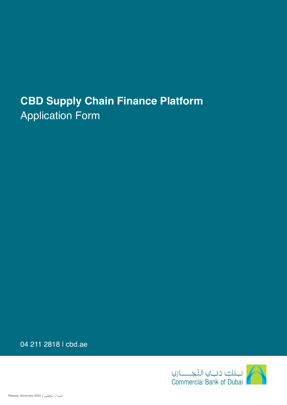## **CBD Supply Chain Finance Platform** Application Form

04 211 2818 | cbd.ae

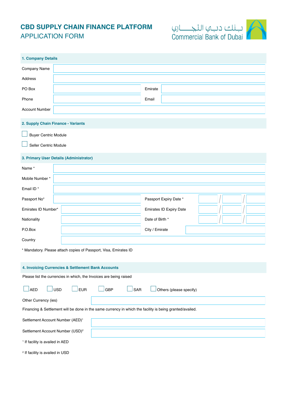## **CBD SUPPLY CHAIN FINANCE PLATFORM** APPLICATION FORM



| 1. Company Details                                                                                       |  |                                |  |  |
|----------------------------------------------------------------------------------------------------------|--|--------------------------------|--|--|
| Company Name                                                                                             |  |                                |  |  |
| Address                                                                                                  |  |                                |  |  |
| PO Box                                                                                                   |  | Emirate                        |  |  |
| Phone                                                                                                    |  | Email                          |  |  |
| <b>Account Number</b>                                                                                    |  |                                |  |  |
| 2. Supply Chain Finance - Variants                                                                       |  |                                |  |  |
| <b>Buyer Centric Module</b>                                                                              |  |                                |  |  |
| Seller Centric Module                                                                                    |  |                                |  |  |
| 3. Primary User Details (Administrator)                                                                  |  |                                |  |  |
| Name*                                                                                                    |  |                                |  |  |
| Mobile Number*                                                                                           |  |                                |  |  |
| Email ID*                                                                                                |  |                                |  |  |
| Passport No*                                                                                             |  | Passport Expiry Date *         |  |  |
| Emirates ID Number*                                                                                      |  | <b>Emirates ID Expiry Date</b> |  |  |
| Nationality                                                                                              |  | Date of Birth *                |  |  |
| P.O.Box                                                                                                  |  | City / Emirate                 |  |  |
| Country                                                                                                  |  |                                |  |  |
| * Mandatory. Please attach copies of Passport, Visa, Emirates ID                                         |  |                                |  |  |
|                                                                                                          |  |                                |  |  |
| 4. Invoicing Currencies & Settlement Bank Accounts                                                       |  |                                |  |  |
| Please list the currencies in which, the Invoices are being raised                                       |  |                                |  |  |
| <b>EUR</b><br><b>AED</b><br>USD<br><b>GBP</b><br>SAR<br>Others (please specify)                          |  |                                |  |  |
| Other Currency (ies)                                                                                     |  |                                |  |  |
| Financing & Settlement will be done in the same currency in which the facility is being granted/availed. |  |                                |  |  |
| Settlement Account Number (AED) <sup>1</sup>                                                             |  |                                |  |  |
| Settlement Account Number (USD) <sup>2</sup>                                                             |  |                                |  |  |
| <sup>1</sup> If facility is availed in AED                                                               |  |                                |  |  |
| <sup>2</sup> If facility is availed in USD                                                               |  |                                |  |  |